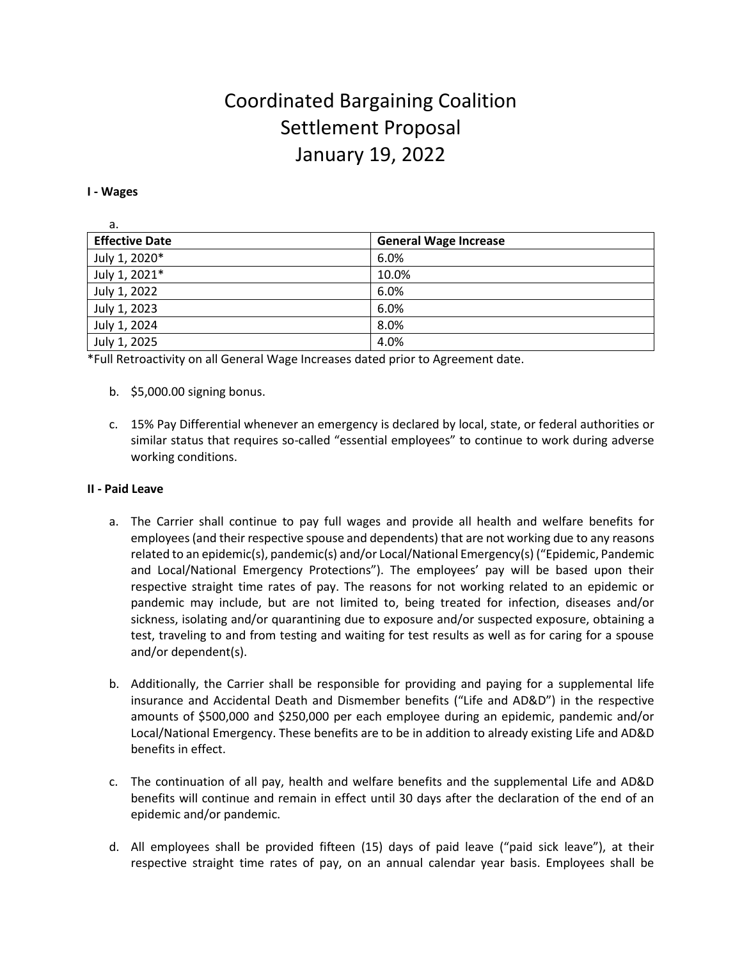# Coordinated Bargaining Coalition Settlement Proposal January 19, 2022

#### **I - Wages**

| а.                    |                              |
|-----------------------|------------------------------|
| <b>Effective Date</b> | <b>General Wage Increase</b> |
| July 1, 2020*         | 6.0%                         |
| July 1, 2021*         | 10.0%                        |
| July 1, 2022          | 6.0%                         |
| July 1, 2023          | 6.0%                         |
| July 1, 2024          | 8.0%                         |
| July 1, 2025          | 4.0%                         |

\*Full Retroactivity on all General Wage Increases dated prior to Agreement date.

- b. \$5,000.00 signing bonus.
- c. 15% Pay Differential whenever an emergency is declared by local, state, or federal authorities or similar status that requires so-called "essential employees" to continue to work during adverse working conditions.

#### **II - Paid Leave**

- a. The Carrier shall continue to pay full wages and provide all health and welfare benefits for employees (and their respective spouse and dependents) that are not working due to any reasons related to an epidemic(s), pandemic(s) and/or Local/National Emergency(s) ("Epidemic, Pandemic and Local/National Emergency Protections"). The employees' pay will be based upon their respective straight time rates of pay. The reasons for not working related to an epidemic or pandemic may include, but are not limited to, being treated for infection, diseases and/or sickness, isolating and/or quarantining due to exposure and/or suspected exposure, obtaining a test, traveling to and from testing and waiting for test results as well as for caring for a spouse and/or dependent(s).
- b. Additionally, the Carrier shall be responsible for providing and paying for a supplemental life insurance and Accidental Death and Dismember benefits ("Life and AD&D") in the respective amounts of \$500,000 and \$250,000 per each employee during an epidemic, pandemic and/or Local/National Emergency. These benefits are to be in addition to already existing Life and AD&D benefits in effect.
- c. The continuation of all pay, health and welfare benefits and the supplemental Life and AD&D benefits will continue and remain in effect until 30 days after the declaration of the end of an epidemic and/or pandemic.
- d. All employees shall be provided fifteen (15) days of paid leave ("paid sick leave"), at their respective straight time rates of pay, on an annual calendar year basis. Employees shall be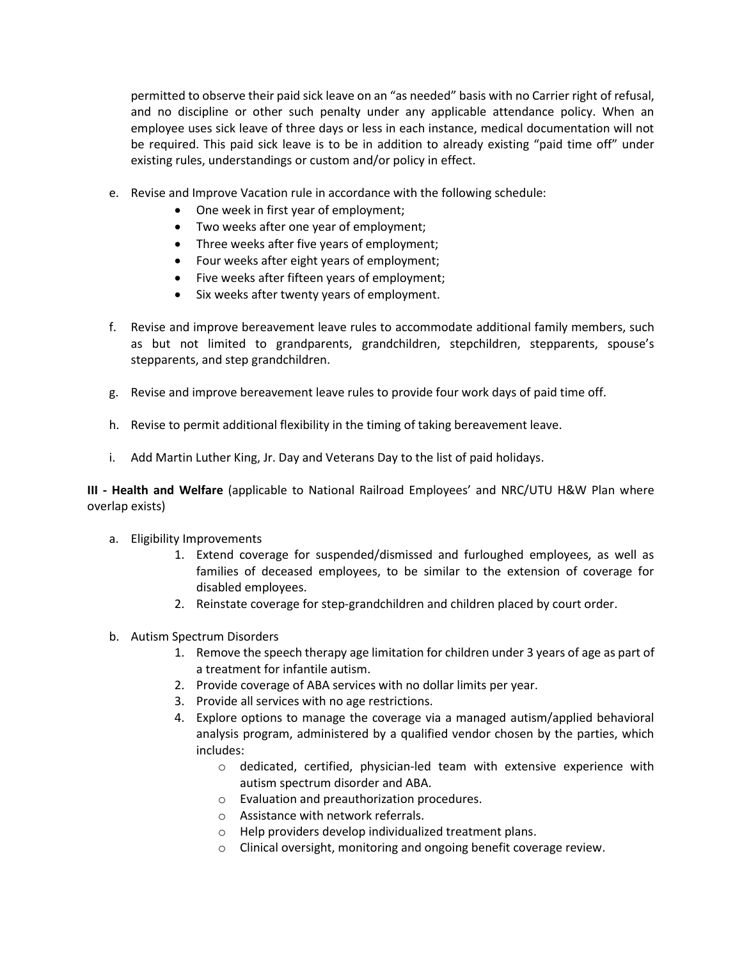permitted to observe their paid sick leave on an "as needed" basis with no Carrier right of refusal, and no discipline or other such penalty under any applicable attendance policy. When an employee uses sick leave of three days or less in each instance, medical documentation will not be required. This paid sick leave is to be in addition to already existing "paid time off" under existing rules, understandings or custom and/or policy in effect.

- e. Revise and Improve Vacation rule in accordance with the following schedule:
	- One week in first year of employment;
	- Two weeks after one year of employment;
	- Three weeks after five years of employment;
	- Four weeks after eight years of employment;
	- Five weeks after fifteen years of employment;
	- Six weeks after twenty years of employment.
- f. Revise and improve bereavement leave rules to accommodate additional family members, such as but not limited to grandparents, grandchildren, stepchildren, stepparents, spouse's stepparents, and step grandchildren.
- g. Revise and improve bereavement leave rules to provide four work days of paid time off.
- h. Revise to permit additional flexibility in the timing of taking bereavement leave.
- i. Add Martin Luther King, Jr. Day and Veterans Day to the list of paid holidays.

**III - Health and Welfare** (applicable to National Railroad Employees' and NRC/UTU H&W Plan where overlap exists)

- a. Eligibility Improvements
	- 1. Extend coverage for suspended/dismissed and furloughed employees, as well as families of deceased employees, to be similar to the extension of coverage for disabled employees.
	- 2. Reinstate coverage for step-grandchildren and children placed by court order.
- b. Autism Spectrum Disorders
	- 1. Remove the speech therapy age limitation for children under 3 years of age as part of a treatment for infantile autism.
	- 2. Provide coverage of ABA services with no dollar limits per year.
	- 3. Provide all services with no age restrictions.
	- 4. Explore options to manage the coverage via a managed autism/applied behavioral analysis program, administered by a qualified vendor chosen by the parties, which includes:
		- o dedicated, certified, physician-led team with extensive experience with autism spectrum disorder and ABA.
		- o Evaluation and preauthorization procedures.
		- o Assistance with network referrals.
		- o Help providers develop individualized treatment plans.
		- o Clinical oversight, monitoring and ongoing benefit coverage review.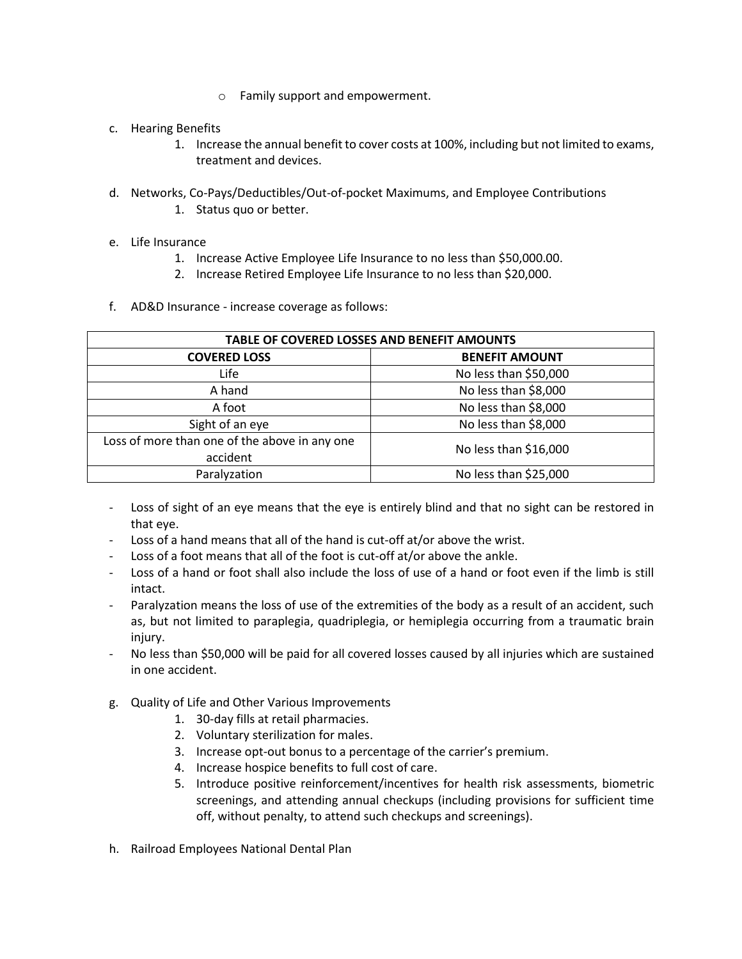- o Family support and empowerment.
- c. Hearing Benefits
	- 1. Increase the annual benefit to cover costs at 100%, including but not limited to exams, treatment and devices.
- d. Networks, Co-Pays/Deductibles/Out-of-pocket Maximums, and Employee Contributions
	- 1. Status quo or better.
- e. Life Insurance
	- 1. Increase Active Employee Life Insurance to no less than \$50,000.00.
	- 2. Increase Retired Employee Life Insurance to no less than \$20,000.
- f. AD&D Insurance increase coverage as follows:

| TABLE OF COVERED LOSSES AND BENEFIT AMOUNTS               |                       |  |
|-----------------------------------------------------------|-----------------------|--|
| <b>COVERED LOSS</b>                                       | <b>BENEFIT AMOUNT</b> |  |
| Life                                                      | No less than \$50,000 |  |
| A hand                                                    | No less than \$8,000  |  |
| A foot                                                    | No less than \$8,000  |  |
| Sight of an eye                                           | No less than \$8,000  |  |
| Loss of more than one of the above in any one<br>accident | No less than \$16,000 |  |
| Paralyzation                                              | No less than \$25,000 |  |

- Loss of sight of an eye means that the eye is entirely blind and that no sight can be restored in that eye.
- Loss of a hand means that all of the hand is cut-off at/or above the wrist.
- Loss of a foot means that all of the foot is cut-off at/or above the ankle.
- Loss of a hand or foot shall also include the loss of use of a hand or foot even if the limb is still intact.
- Paralyzation means the loss of use of the extremities of the body as a result of an accident, such as, but not limited to paraplegia, quadriplegia, or hemiplegia occurring from a traumatic brain injury.
- No less than \$50,000 will be paid for all covered losses caused by all injuries which are sustained in one accident.
- g. Quality of Life and Other Various Improvements
	- 1. 30-day fills at retail pharmacies.
	- 2. Voluntary sterilization for males.
	- 3. Increase opt-out bonus to a percentage of the carrier's premium.
	- 4. Increase hospice benefits to full cost of care.
	- 5. Introduce positive reinforcement/incentives for health risk assessments, biometric screenings, and attending annual checkups (including provisions for sufficient time off, without penalty, to attend such checkups and screenings).
- h. Railroad Employees National Dental Plan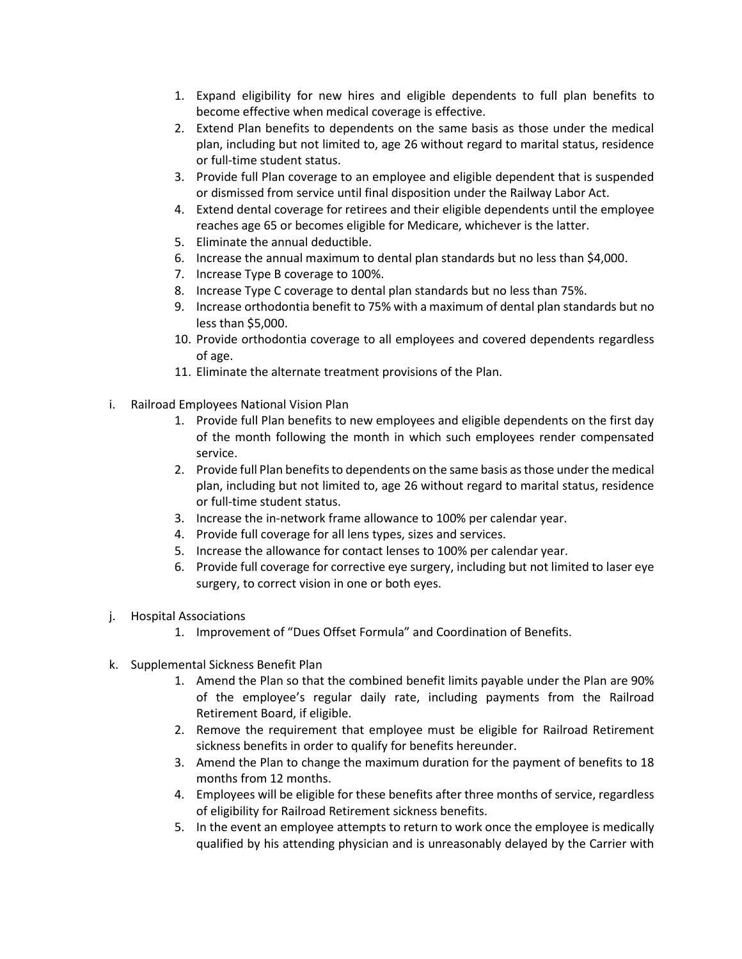- 1. Expand eligibility for new hires and eligible dependents to full plan benefits to become effective when medical coverage is effective.
- 2. Extend Plan benefits to dependents on the same basis as those under the medical plan, including but not limited to, age 26 without regard to marital status, residence or full-time student status.
- 3. Provide full Plan coverage to an employee and eligible dependent that is suspended or dismissed from service until final disposition under the Railway Labor Act.
- 4. Extend dental coverage for retirees and their eligible dependents until the employee reaches age 65 or becomes eligible for Medicare, whichever is the latter.
- 5. Eliminate the annual deductible.
- 6. Increase the annual maximum to dental plan standards but no less than \$4,000.
- 7. Increase Type B coverage to 100%.
- 8. Increase Type C coverage to dental plan standards but no less than 75%.
- 9. Increase orthodontia benefit to 75% with a maximum of dental plan standards but no less than \$5,000.
- 10. Provide orthodontia coverage to all employees and covered dependents regardless of age.
- 11. Eliminate the alternate treatment provisions of the Plan.
- i. Railroad Employees National Vision Plan
	- 1. Provide full Plan benefits to new employees and eligible dependents on the first day of the month following the month in which such employees render compensated service.
	- 2. Provide full Plan benefits to dependents on the same basis as those under the medical plan, including but not limited to, age 26 without regard to marital status, residence or full-time student status.
	- 3. Increase the in-network frame allowance to 100% per calendar year.
	- 4. Provide full coverage for all lens types, sizes and services.
	- 5. Increase the allowance for contact lenses to 100% per calendar year.
	- 6. Provide full coverage for corrective eye surgery, including but not limited to laser eye surgery, to correct vision in one or both eyes.
- j. Hospital Associations
	- 1. Improvement of "Dues Offset Formula" and Coordination of Benefits.
- k. Supplemental Sickness Benefit Plan
	- 1. Amend the Plan so that the combined benefit limits payable under the Plan are 90% of the employee's regular daily rate, including payments from the Railroad Retirement Board, if eligible.
	- 2. Remove the requirement that employee must be eligible for Railroad Retirement sickness benefits in order to qualify for benefits hereunder.
	- 3. Amend the Plan to change the maximum duration for the payment of benefits to 18 months from 12 months.
	- 4. Employees will be eligible for these benefits after three months of service, regardless of eligibility for Railroad Retirement sickness benefits.
	- 5. In the event an employee attempts to return to work once the employee is medically qualified by his attending physician and is unreasonably delayed by the Carrier with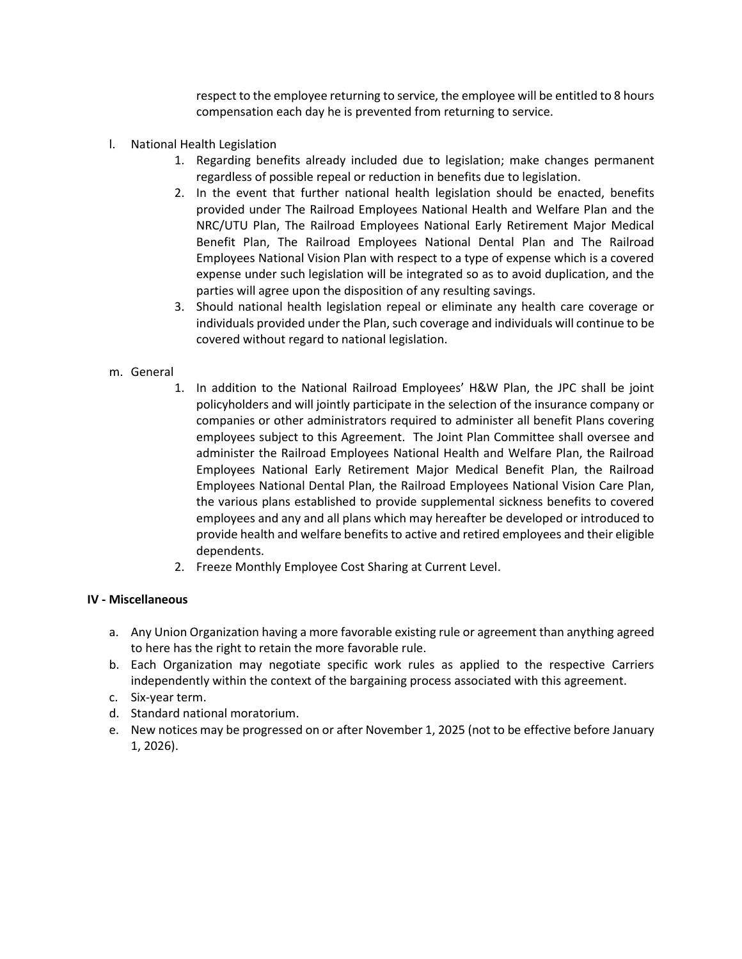respect to the employee returning to service, the employee will be entitled to 8 hours compensation each day he is prevented from returning to service.

- l. National Health Legislation
	- 1. Regarding benefits already included due to legislation; make changes permanent regardless of possible repeal or reduction in benefits due to legislation.
	- 2. In the event that further national health legislation should be enacted, benefits provided under The Railroad Employees National Health and Welfare Plan and the NRC/UTU Plan, The Railroad Employees National Early Retirement Major Medical Benefit Plan, The Railroad Employees National Dental Plan and The Railroad Employees National Vision Plan with respect to a type of expense which is a covered expense under such legislation will be integrated so as to avoid duplication, and the parties will agree upon the disposition of any resulting savings.
	- 3. Should national health legislation repeal or eliminate any health care coverage or individuals provided under the Plan, such coverage and individuals will continue to be covered without regard to national legislation.

# m. General

- 1. In addition to the National Railroad Employees' H&W Plan, the JPC shall be joint policyholders and will jointly participate in the selection of the insurance company or companies or other administrators required to administer all benefit Plans covering employees subject to this Agreement. The Joint Plan Committee shall oversee and administer the Railroad Employees National Health and Welfare Plan, the Railroad Employees National Early Retirement Major Medical Benefit Plan, the Railroad Employees National Dental Plan, the Railroad Employees National Vision Care Plan, the various plans established to provide supplemental sickness benefits to covered employees and any and all plans which may hereafter be developed or introduced to provide health and welfare benefits to active and retired employees and their eligible dependents.
- 2. Freeze Monthly Employee Cost Sharing at Current Level.

## **IV - Miscellaneous**

- a. Any Union Organization having a more favorable existing rule or agreement than anything agreed to here has the right to retain the more favorable rule.
- b. Each Organization may negotiate specific work rules as applied to the respective Carriers independently within the context of the bargaining process associated with this agreement.
- c. Six-year term.
- d. Standard national moratorium.
- e. New notices may be progressed on or after November 1, 2025 (not to be effective before January 1, 2026).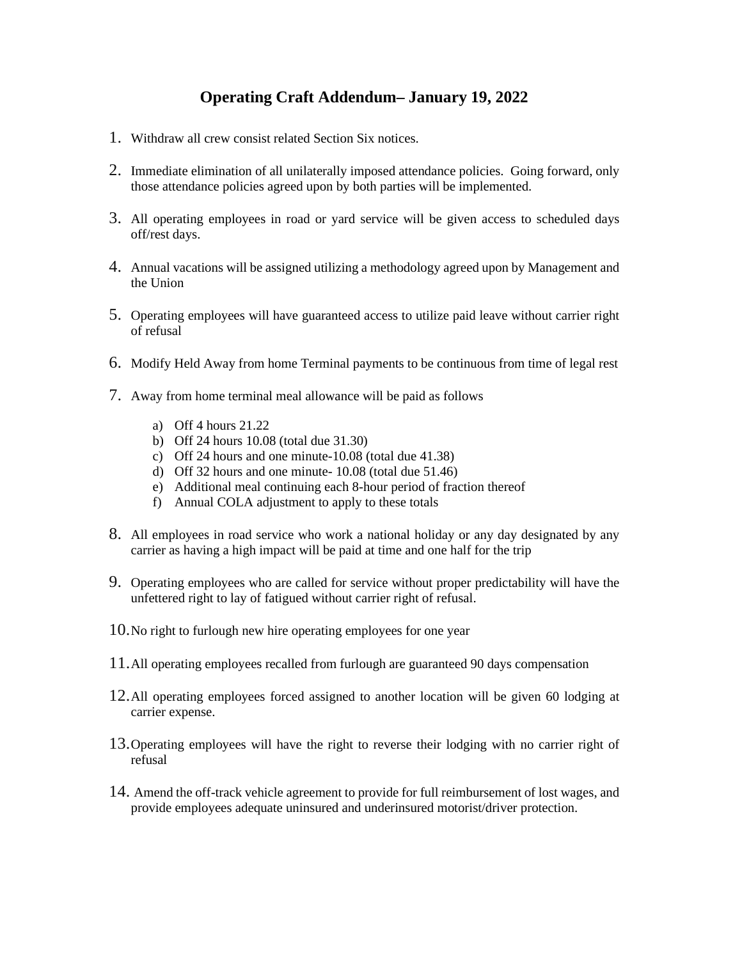# **Operating Craft Addendum– January 19, 2022**

- 1. Withdraw all crew consist related Section Six notices.
- 2. Immediate elimination of all unilaterally imposed attendance policies. Going forward, only those attendance policies agreed upon by both parties will be implemented.
- 3. All operating employees in road or yard service will be given access to scheduled days off/rest days.
- 4. Annual vacations will be assigned utilizing a methodology agreed upon by Management and the Union
- 5. Operating employees will have guaranteed access to utilize paid leave without carrier right of refusal
- 6. Modify Held Away from home Terminal payments to be continuous from time of legal rest
- 7. Away from home terminal meal allowance will be paid as follows
	- a) Off 4 hours 21.22
	- b) Off 24 hours 10.08 (total due 31.30)
	- c) Off 24 hours and one minute-10.08 (total due 41.38)
	- d) Off 32 hours and one minute- 10.08 (total due 51.46)
	- e) Additional meal continuing each 8-hour period of fraction thereof
	- f) Annual COLA adjustment to apply to these totals
- 8. All employees in road service who work a national holiday or any day designated by any carrier as having a high impact will be paid at time and one half for the trip
- 9. Operating employees who are called for service without proper predictability will have the unfettered right to lay of fatigued without carrier right of refusal.
- 10.No right to furlough new hire operating employees for one year
- 11.All operating employees recalled from furlough are guaranteed 90 days compensation
- 12.All operating employees forced assigned to another location will be given 60 lodging at carrier expense.
- 13.Operating employees will have the right to reverse their lodging with no carrier right of refusal
- 14. Amend the off-track vehicle agreement to provide for full reimbursement of lost wages, and provide employees adequate uninsured and underinsured motorist/driver protection.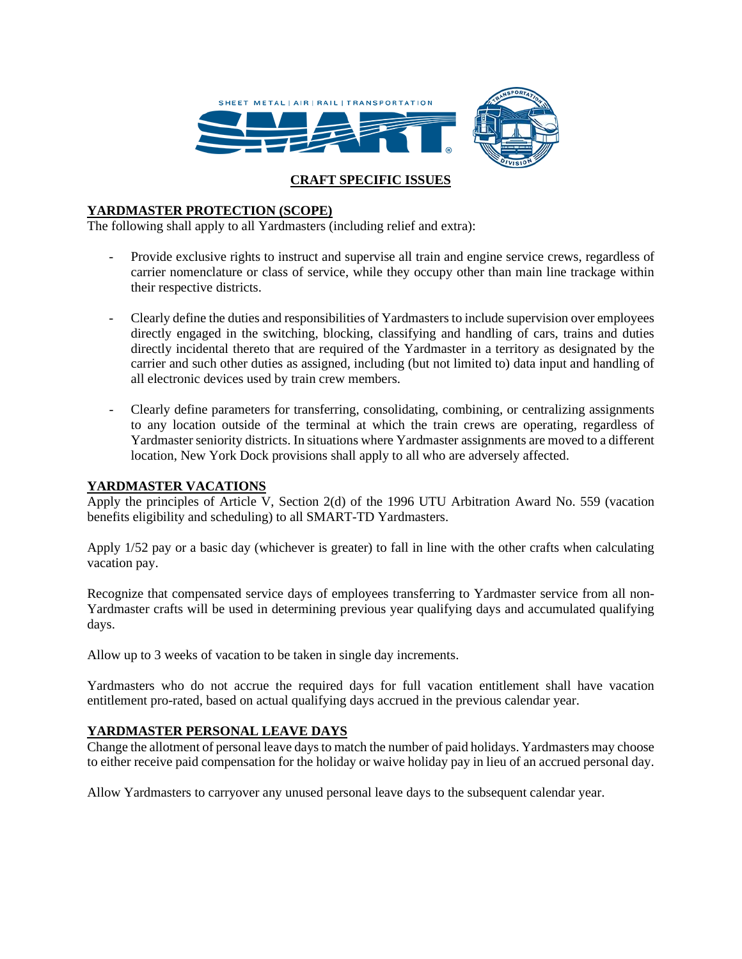

# **CRAFT SPECIFIC ISSUES**

## **YARDMASTER PROTECTION (SCOPE)**

The following shall apply to all Yardmasters (including relief and extra):

- Provide exclusive rights to instruct and supervise all train and engine service crews, regardless of carrier nomenclature or class of service, while they occupy other than main line trackage within their respective districts.
- Clearly define the duties and responsibilities of Yardmasters to include supervision over employees directly engaged in the switching, blocking, classifying and handling of cars, trains and duties directly incidental thereto that are required of the Yardmaster in a territory as designated by the carrier and such other duties as assigned, including (but not limited to) data input and handling of all electronic devices used by train crew members.
- Clearly define parameters for transferring, consolidating, combining, or centralizing assignments to any location outside of the terminal at which the train crews are operating, regardless of Yardmaster seniority districts. In situations where Yardmaster assignments are moved to a different location, New York Dock provisions shall apply to all who are adversely affected.

#### **YARDMASTER VACATIONS**

Apply the principles of Article V, Section 2(d) of the 1996 UTU Arbitration Award No. 559 (vacation benefits eligibility and scheduling) to all SMART-TD Yardmasters.

Apply 1/52 pay or a basic day (whichever is greater) to fall in line with the other crafts when calculating vacation pay.

Recognize that compensated service days of employees transferring to Yardmaster service from all non-Yardmaster crafts will be used in determining previous year qualifying days and accumulated qualifying days.

Allow up to 3 weeks of vacation to be taken in single day increments.

Yardmasters who do not accrue the required days for full vacation entitlement shall have vacation entitlement pro-rated, based on actual qualifying days accrued in the previous calendar year.

#### **YARDMASTER PERSONAL LEAVE DAYS**

Change the allotment of personal leave days to match the number of paid holidays. Yardmasters may choose to either receive paid compensation for the holiday or waive holiday pay in lieu of an accrued personal day.

Allow Yardmasters to carryover any unused personal leave days to the subsequent calendar year.